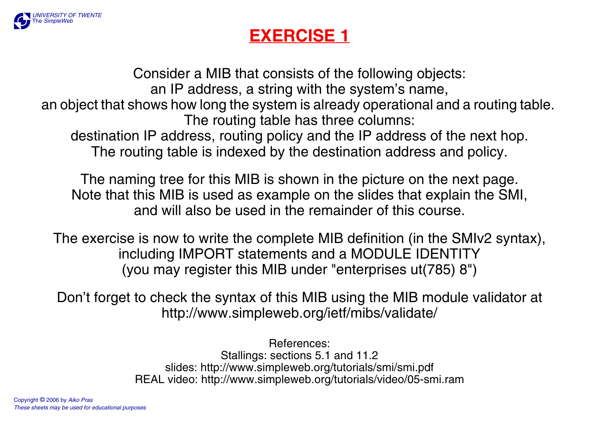

## **EXERCISE 1**

Consider a MIB that consists of the following objects: an IP address, a string with the system's name, an object that shows how long the system is already operational and a routing table. The routing table has three columns: destination IP address, routing policy and the IP address of the next hop. The routing table is indexed by the destination address and policy.

The naming tree for this MIB is shown in the picture on the next page. Note that this MIB is used as example on the slides that explain the SMI, and will also be used in the remainder of this course.

The exercise is now to write the complete MIB definition (in the SMIv2 syntax), including IMPORT statements and a MODULE IDENTITY (you may register this MIB under "enterprises ut(785) 8")

Don't forget to check the syntax of this MIB using the MIB module validator at <http://www.simpleweb.org/ietf/mibs/validate/>

> References:Stallings: sections 5.1 and 11.2 [slides: http://www.simpleweb.org/tutorials/smi/smi.pdf](http://www.simpleweb.org/tutorials/smi/smi.pdf)  [REAL video: http://www.simpleweb.org/tutorials/video/05-smi.ram](http://www.simpleweb.org/tutorials/video/05-smi.ram)